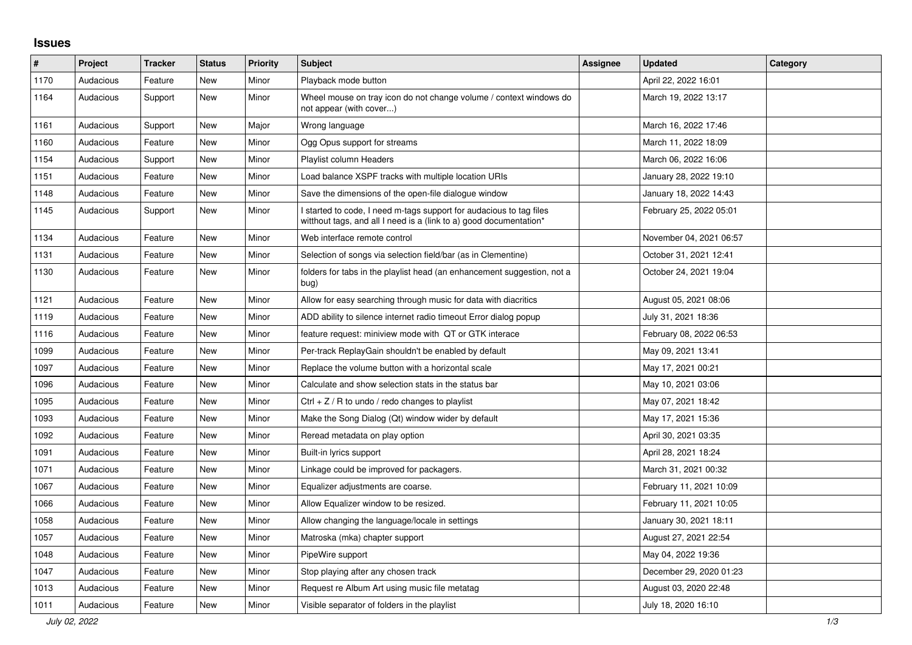## **Issues**

| #    | Project   | <b>Tracker</b> | <b>Status</b> | <b>Priority</b> | <b>Subject</b>                                                                                                                            | <b>Assignee</b> | <b>Updated</b>          | Category |
|------|-----------|----------------|---------------|-----------------|-------------------------------------------------------------------------------------------------------------------------------------------|-----------------|-------------------------|----------|
| 1170 | Audacious | Feature        | New           | Minor           | Playback mode button                                                                                                                      |                 | April 22, 2022 16:01    |          |
| 1164 | Audacious | Support        | New           | Minor           | Wheel mouse on tray icon do not change volume / context windows do<br>not appear (with cover)                                             |                 | March 19, 2022 13:17    |          |
| 1161 | Audacious | Support        | <b>New</b>    | Major           | Wrong language                                                                                                                            |                 | March 16, 2022 17:46    |          |
| 1160 | Audacious | Feature        | New           | Minor           | Ogg Opus support for streams                                                                                                              |                 | March 11, 2022 18:09    |          |
| 1154 | Audacious | Support        | New           | Minor           | Playlist column Headers                                                                                                                   |                 | March 06, 2022 16:06    |          |
| 1151 | Audacious | Feature        | New           | Minor           | Load balance XSPF tracks with multiple location URIs                                                                                      |                 | January 28, 2022 19:10  |          |
| 1148 | Audacious | Feature        | New           | Minor           | Save the dimensions of the open-file dialogue window                                                                                      |                 | January 18, 2022 14:43  |          |
| 1145 | Audacious | Support        | New           | Minor           | I started to code, I need m-tags support for audacious to tag files<br>witthout tags, and all I need is a (link to a) good documentation* |                 | February 25, 2022 05:01 |          |
| 1134 | Audacious | Feature        | New           | Minor           | Web interface remote control                                                                                                              |                 | November 04, 2021 06:57 |          |
| 1131 | Audacious | Feature        | New           | Minor           | Selection of songs via selection field/bar (as in Clementine)                                                                             |                 | October 31, 2021 12:41  |          |
| 1130 | Audacious | Feature        | New           | Minor           | folders for tabs in the playlist head (an enhancement suggestion, not a<br>bug)                                                           |                 | October 24, 2021 19:04  |          |
| 1121 | Audacious | Feature        | <b>New</b>    | Minor           | Allow for easy searching through music for data with diacritics                                                                           |                 | August 05, 2021 08:06   |          |
| 1119 | Audacious | Feature        | <b>New</b>    | Minor           | ADD ability to silence internet radio timeout Error dialog popup                                                                          |                 | July 31, 2021 18:36     |          |
| 1116 | Audacious | Feature        | New           | Minor           | feature request: miniview mode with QT or GTK interace                                                                                    |                 | February 08, 2022 06:53 |          |
| 1099 | Audacious | Feature        | New           | Minor           | Per-track ReplayGain shouldn't be enabled by default                                                                                      |                 | May 09, 2021 13:41      |          |
| 1097 | Audacious | Feature        | New           | Minor           | Replace the volume button with a horizontal scale                                                                                         |                 | May 17, 2021 00:21      |          |
| 1096 | Audacious | Feature        | New           | Minor           | Calculate and show selection stats in the status bar                                                                                      |                 | May 10, 2021 03:06      |          |
| 1095 | Audacious | Feature        | New           | Minor           | Ctrl $+$ Z / R to undo / redo changes to playlist                                                                                         |                 | May 07, 2021 18:42      |          |
| 1093 | Audacious | Feature        | New           | Minor           | Make the Song Dialog (Qt) window wider by default                                                                                         |                 | May 17, 2021 15:36      |          |
| 1092 | Audacious | Feature        | New           | Minor           | Reread metadata on play option                                                                                                            |                 | April 30, 2021 03:35    |          |
| 1091 | Audacious | Feature        | New           | Minor           | Built-in lyrics support                                                                                                                   |                 | April 28, 2021 18:24    |          |
| 1071 | Audacious | Feature        | New           | Minor           | Linkage could be improved for packagers.                                                                                                  |                 | March 31, 2021 00:32    |          |
| 1067 | Audacious | Feature        | New           | Minor           | Equalizer adjustments are coarse.                                                                                                         |                 | February 11, 2021 10:09 |          |
| 1066 | Audacious | Feature        | New           | Minor           | Allow Equalizer window to be resized.                                                                                                     |                 | February 11, 2021 10:05 |          |
| 1058 | Audacious | Feature        | New           | Minor           | Allow changing the language/locale in settings                                                                                            |                 | January 30, 2021 18:11  |          |
| 1057 | Audacious | Feature        | New           | Minor           | Matroska (mka) chapter support                                                                                                            |                 | August 27, 2021 22:54   |          |
| 1048 | Audacious | Feature        | New           | Minor           | PipeWire support                                                                                                                          |                 | May 04, 2022 19:36      |          |
| 1047 | Audacious | Feature        | New           | Minor           | Stop playing after any chosen track                                                                                                       |                 | December 29, 2020 01:23 |          |
| 1013 | Audacious | Feature        | New           | Minor           | Request re Album Art using music file metatag                                                                                             |                 | August 03, 2020 22:48   |          |
| 1011 | Audacious | Feature        | New           | Minor           | Visible separator of folders in the playlist                                                                                              |                 | July 18, 2020 16:10     |          |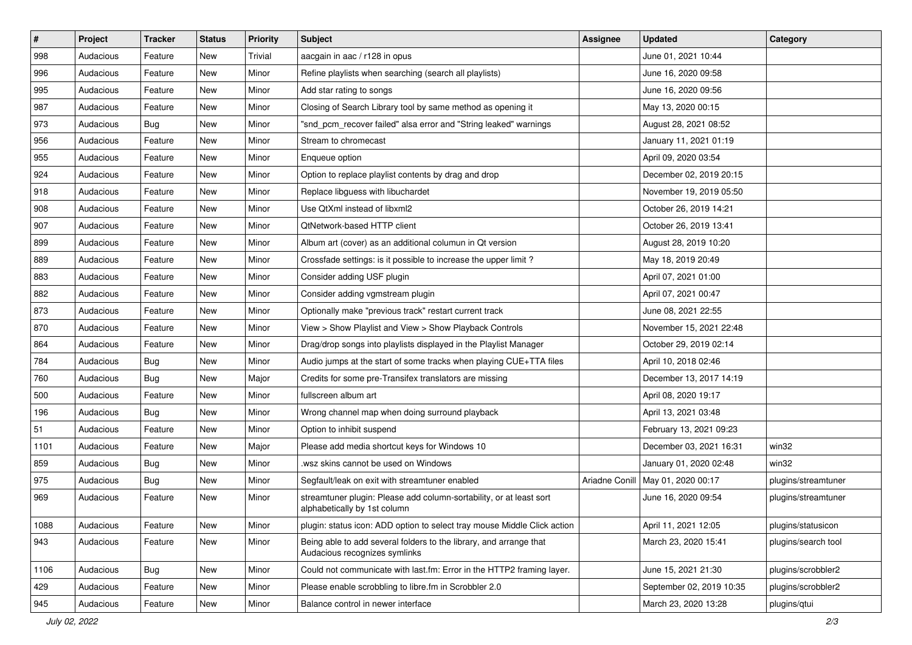| $\vert$ # | Project   | <b>Tracker</b> | <b>Status</b> | <b>Priority</b> | <b>Subject</b>                                                                                      | <b>Assignee</b> | <b>Updated</b>           | Category            |
|-----------|-----------|----------------|---------------|-----------------|-----------------------------------------------------------------------------------------------------|-----------------|--------------------------|---------------------|
| 998       | Audacious | Feature        | New           | Trivial         | aacgain in aac / r128 in opus                                                                       |                 | June 01, 2021 10:44      |                     |
| 996       | Audacious | Feature        | <b>New</b>    | Minor           | Refine playlists when searching (search all playlists)                                              |                 | June 16, 2020 09:58      |                     |
| 995       | Audacious | Feature        | New           | Minor           | Add star rating to songs                                                                            |                 | June 16, 2020 09:56      |                     |
| 987       | Audacious | Feature        | New           | Minor           | Closing of Search Library tool by same method as opening it                                         |                 | May 13, 2020 00:15       |                     |
| 973       | Audacious | <b>Bug</b>     | New           | Minor           | "snd_pcm_recover failed" alsa error and "String leaked" warnings                                    |                 | August 28, 2021 08:52    |                     |
| 956       | Audacious | Feature        | New           | Minor           | Stream to chromecast                                                                                |                 | January 11, 2021 01:19   |                     |
| 955       | Audacious | Feature        | New           | Minor           | Enqueue option                                                                                      |                 | April 09, 2020 03:54     |                     |
| 924       | Audacious | Feature        | New           | Minor           | Option to replace playlist contents by drag and drop                                                |                 | December 02, 2019 20:15  |                     |
| 918       | Audacious | Feature        | New           | Minor           | Replace libguess with libuchardet                                                                   |                 | November 19, 2019 05:50  |                     |
| 908       | Audacious | Feature        | New           | Minor           | Use QtXml instead of libxml2                                                                        |                 | October 26, 2019 14:21   |                     |
| 907       | Audacious | Feature        | New           | Minor           | QtNetwork-based HTTP client                                                                         |                 | October 26, 2019 13:41   |                     |
| 899       | Audacious | Feature        | New           | Minor           | Album art (cover) as an additional columun in Qt version                                            |                 | August 28, 2019 10:20    |                     |
| 889       | Audacious | Feature        | New           | Minor           | Crossfade settings: is it possible to increase the upper limit?                                     |                 | May 18, 2019 20:49       |                     |
| 883       | Audacious | Feature        | New           | Minor           | Consider adding USF plugin                                                                          |                 | April 07, 2021 01:00     |                     |
| 882       | Audacious | Feature        | <b>New</b>    | Minor           | Consider adding vgmstream plugin                                                                    |                 | April 07, 2021 00:47     |                     |
| 873       | Audacious | Feature        | New           | Minor           | Optionally make "previous track" restart current track                                              |                 | June 08, 2021 22:55      |                     |
| 870       | Audacious | Feature        | New           | Minor           | View > Show Playlist and View > Show Playback Controls                                              |                 | November 15, 2021 22:48  |                     |
| 864       | Audacious | Feature        | New           | Minor           | Drag/drop songs into playlists displayed in the Playlist Manager                                    |                 | October 29, 2019 02:14   |                     |
| 784       | Audacious | Bug            | New           | Minor           | Audio jumps at the start of some tracks when playing CUE+TTA files                                  |                 | April 10, 2018 02:46     |                     |
| 760       | Audacious | <b>Bug</b>     | New           | Major           | Credits for some pre-Transifex translators are missing                                              |                 | December 13, 2017 14:19  |                     |
| 500       | Audacious | Feature        | New           | Minor           | fullscreen album art                                                                                |                 | April 08, 2020 19:17     |                     |
| 196       | Audacious | <b>Bug</b>     | New           | Minor           | Wrong channel map when doing surround playback                                                      |                 | April 13, 2021 03:48     |                     |
| 51        | Audacious | Feature        | New           | Minor           | Option to inhibit suspend                                                                           |                 | February 13, 2021 09:23  |                     |
| 1101      | Audacious | Feature        | New           | Major           | Please add media shortcut keys for Windows 10                                                       |                 | December 03, 2021 16:31  | win32               |
| 859       | Audacious | Bug            | New           | Minor           | wsz skins cannot be used on Windows                                                                 |                 | January 01, 2020 02:48   | win32               |
| 975       | Audacious | <b>Bug</b>     | New           | Minor           | Segfault/leak on exit with streamtuner enabled                                                      | Ariadne Conill  | May 01, 2020 00:17       | plugins/streamtuner |
| 969       | Audacious | Feature        | New           | Minor           | streamtuner plugin: Please add column-sortability, or at least sort<br>alphabetically by 1st column |                 | June 16, 2020 09:54      | plugins/streamtuner |
| 1088      | Audacious | Feature        | New           | Minor           | plugin: status icon: ADD option to select tray mouse Middle Click action                            |                 | April 11, 2021 12:05     | plugins/statusicon  |
| 943       | Audacious | Feature        | New           | Minor           | Being able to add several folders to the library, and arrange that<br>Audacious recognizes symlinks |                 | March 23, 2020 15:41     | plugins/search tool |
| 1106      | Audacious | Bug            | New           | Minor           | Could not communicate with last.fm: Error in the HTTP2 framing layer.                               |                 | June 15, 2021 21:30      | plugins/scrobbler2  |
| 429       | Audacious | Feature        | New           | Minor           | Please enable scrobbling to libre.fm in Scrobbler 2.0                                               |                 | September 02, 2019 10:35 | plugins/scrobbler2  |
| 945       | Audacious | Feature        | New           | Minor           | Balance control in newer interface                                                                  |                 | March 23, 2020 13:28     | plugins/qtui        |